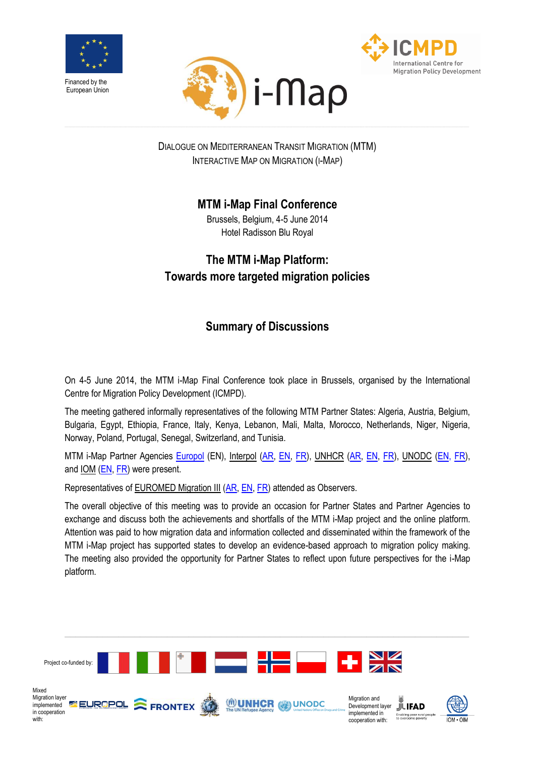





DIALOGUE ON MEDITERRANEAN TRANSIT MIGRATION (MTM) INTERACTIVE MAP ON MIGRATION (I-MAP)

## **MTM i-Map Final Conference**

Brussels, Belgium, 4-5 June 2014 Hotel Radisson Blu Royal

## **The MTM i-Map Platform: Towards more targeted migration policies**

# **Summary of Discussions**

On 4-5 June 2014, the MTM i-Map Final Conference took place in Brussels, organised by the International Centre for Migration Policy Development (ICMPD).

The meeting gathered informally representatives of the following MTM Partner States: Algeria, Austria, Belgium, Bulgaria, Egypt, Ethiopia, France, Italy, Kenya, Lebanon, Mali, Malta, Morocco, Netherlands, Niger, Nigeria, Norway, Poland, Portugal, Senegal, Switzerland, and Tunisia.

MTM i-Map Partner Agencies [Europol](https://www.europol.europa.eu/) (EN), Interpol [\(AR,](http://www.unhcr-arabic.org/cgi-bin/texis/vtx/home) [EN,](http://www.unhcr.org/) [FR\)](http://www.unodc.org/unodc/fr/index.html), UNHCR (AR, EN, FR), UNODC [\(EN,](http://www.unodc.org/) FR), and IOM [\(EN,](https://www.iom.int/cms/en/sites/iom/home.html) [FR\)](https://www.iom.int/cms/fr/sites/iom/home.html) were present.

Representatives of EUROMED Migration III [\(AR,](http://www.euromed-migration.eu/ar/) [EN,](http://www.euromed-migration.eu/) [FR\)](http://www.euromed-migration.eu/fr/) attended as Observers.

The overall objective of this meeting was to provide an occasion for Partner States and Partner Agencies to exchange and discuss both the achievements and shortfalls of the MTM i-Map project and the online platform. Attention was paid to how migration data and information collected and disseminated within the framework of the MTM i-Map project has supported states to develop an evidence-based approach to migration policy making. The meeting also provided the opportunity for Partner States to reflect upon future perspectives for the i-Map platform.

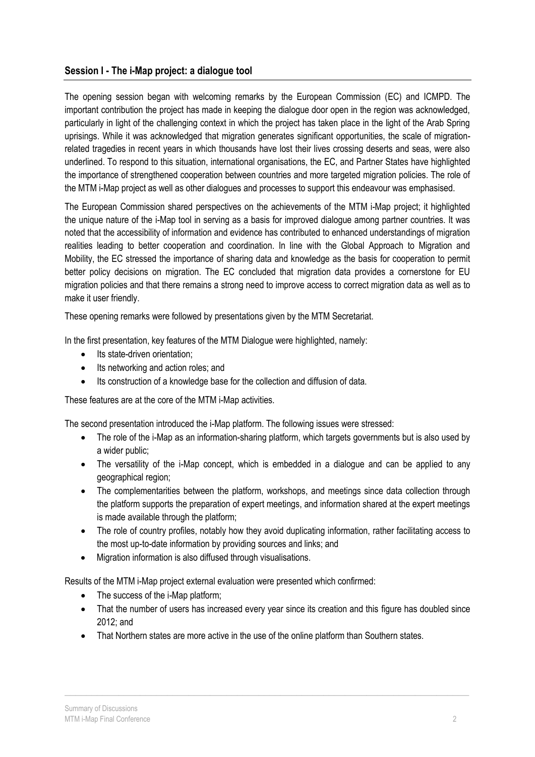### **Session I - The i-Map project: a dialogue tool**

The opening session began with welcoming remarks by the European Commission (EC) and ICMPD. The important contribution the project has made in keeping the dialogue door open in the region was acknowledged, particularly in light of the challenging context in which the project has taken place in the light of the Arab Spring uprisings. While it was acknowledged that migration generates significant opportunities, the scale of migrationrelated tragedies in recent years in which thousands have lost their lives crossing deserts and seas, were also underlined. To respond to this situation, international organisations, the EC, and Partner States have highlighted the importance of strengthened cooperation between countries and more targeted migration policies. The role of the MTM i-Map project as well as other dialogues and processes to support this endeavour was emphasised.

The European Commission shared perspectives on the achievements of the MTM i-Map project; it highlighted the unique nature of the i-Map tool in serving as a basis for improved dialogue among partner countries. It was noted that the accessibility of information and evidence has contributed to enhanced understandings of migration realities leading to better cooperation and coordination. In line with the Global Approach to Migration and Mobility, the EC stressed the importance of sharing data and knowledge as the basis for cooperation to permit better policy decisions on migration. The EC concluded that migration data provides a cornerstone for EU migration policies and that there remains a strong need to improve access to correct migration data as well as to make it user friendly.

These opening remarks were followed by presentations given by the MTM Secretariat.

In the first presentation, key features of the MTM Dialogue were highlighted, namely:

- Its state-driven orientation:
- Its networking and action roles; and
- Its construction of a knowledge base for the collection and diffusion of data.

These features are at the core of the MTM i-Map activities.

The second presentation introduced the i-Map platform. The following issues were stressed:

- The role of the i-Map as an information-sharing platform, which targets governments but is also used by a wider public;
- The versatility of the i-Map concept, which is embedded in a dialogue and can be applied to any geographical region;
- The complementarities between the platform, workshops, and meetings since data collection through the platform supports the preparation of expert meetings, and information shared at the expert meetings is made available through the platform;
- The role of country profiles, notably how they avoid duplicating information, rather facilitating access to the most up-to-date information by providing sources and links; and
- Migration information is also diffused through visualisations.

Results of the MTM i-Map project external evaluation were presented which confirmed:

- The success of the i-Map platform;
- That the number of users has increased every year since its creation and this figure has doubled since 2012; and

\_\_\_\_\_\_\_\_\_\_\_\_\_\_\_\_\_\_\_\_\_\_\_\_\_\_\_\_\_\_\_\_\_\_\_\_\_\_\_\_\_\_\_\_\_\_\_\_\_\_\_\_\_\_\_\_\_\_\_\_\_\_\_\_\_\_\_\_\_\_\_\_\_\_\_

That Northern states are more active in the use of the online platform than Southern states.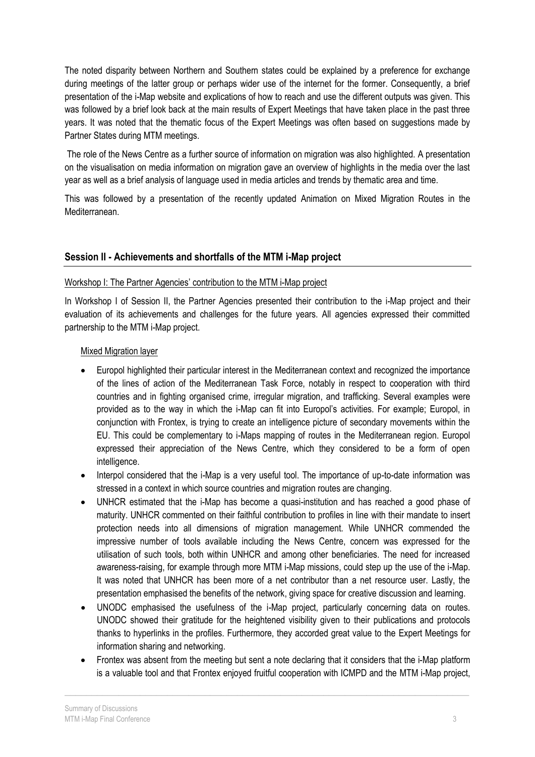The noted disparity between Northern and Southern states could be explained by a preference for exchange during meetings of the latter group or perhaps wider use of the internet for the former. Consequently, a brief presentation of the i-Map website and explications of how to reach and use the different outputs was given. This was followed by a brief look back at the main results of Expert Meetings that have taken place in the past three years. It was noted that the thematic focus of the Expert Meetings was often based on suggestions made by Partner States during MTM meetings.

The role of the News Centre as a further source of information on migration was also highlighted. A presentation on the visualisation on media information on migration gave an overview of highlights in the media over the last year as well as a brief analysis of language used in media articles and trends by thematic area and time.

This was followed by a presentation of the recently updated Animation on Mixed Migration Routes in the Mediterranean.

## **Session II - Achievements and shortfalls of the MTM i-Map project**

#### Workshop I: The Partner Agencies' contribution to the MTM i-Map project

In Workshop I of Session II, the Partner Agencies presented their contribution to the i-Map project and their evaluation of its achievements and challenges for the future years. All agencies expressed their committed partnership to the MTM i-Map project.

#### Mixed Migration layer

- Europol highlighted their particular interest in the Mediterranean context and recognized the importance of the lines of action of the Mediterranean Task Force, notably in respect to cooperation with third countries and in fighting organised crime, irregular migration, and trafficking. Several examples were provided as to the way in which the i-Map can fit into Europol's activities. For example; Europol, in conjunction with Frontex, is trying to create an intelligence picture of secondary movements within the EU. This could be complementary to i-Maps mapping of routes in the Mediterranean region. Europol expressed their appreciation of the News Centre, which they considered to be a form of open intelligence.
- Interpol considered that the i-Map is a very useful tool. The importance of up-to-date information was stressed in a context in which source countries and migration routes are changing.
- UNHCR estimated that the i-Map has become a quasi-institution and has reached a good phase of maturity. UNHCR commented on their faithful contribution to profiles in line with their mandate to insert protection needs into all dimensions of migration management. While UNHCR commended the impressive number of tools available including the News Centre, concern was expressed for the utilisation of such tools, both within UNHCR and among other beneficiaries. The need for increased awareness-raising, for example through more MTM i-Map missions, could step up the use of the i-Map. It was noted that UNHCR has been more of a net contributor than a net resource user. Lastly, the presentation emphasised the benefits of the network, giving space for creative discussion and learning.
- UNODC emphasised the usefulness of the i-Map project, particularly concerning data on routes. UNODC showed their gratitude for the heightened visibility given to their publications and protocols thanks to hyperlinks in the profiles. Furthermore, they accorded great value to the Expert Meetings for information sharing and networking.
- Frontex was absent from the meeting but sent a note declaring that it considers that the i-Map platform is a valuable tool and that Frontex enjoyed fruitful cooperation with ICMPD and the MTM i-Map project,

\_\_\_\_\_\_\_\_\_\_\_\_\_\_\_\_\_\_\_\_\_\_\_\_\_\_\_\_\_\_\_\_\_\_\_\_\_\_\_\_\_\_\_\_\_\_\_\_\_\_\_\_\_\_\_\_\_\_\_\_\_\_\_\_\_\_\_\_\_\_\_\_\_\_\_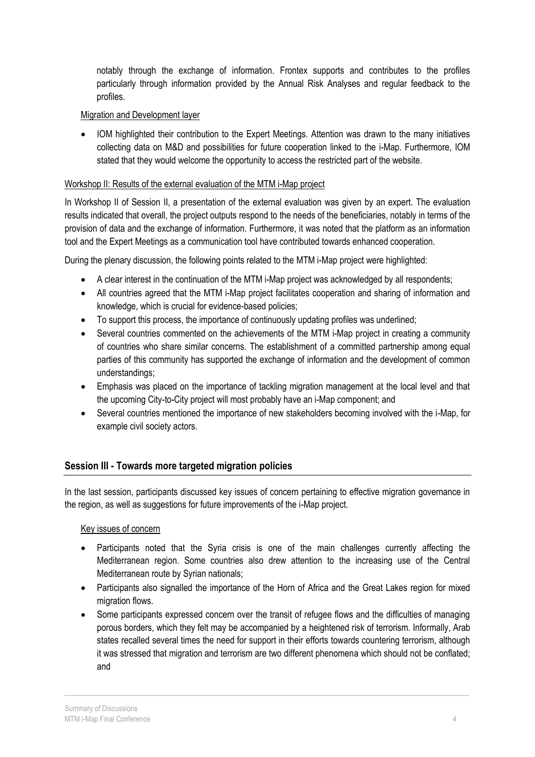notably through the exchange of information. Frontex supports and contributes to the profiles particularly through information provided by the Annual Risk Analyses and regular feedback to the profiles.

#### Migration and Development layer

 IOM highlighted their contribution to the Expert Meetings. Attention was drawn to the many initiatives collecting data on M&D and possibilities for future cooperation linked to the i-Map. Furthermore, IOM stated that they would welcome the opportunity to access the restricted part of the website.

#### Workshop II: Results of the external evaluation of the MTM i-Map project

In Workshop II of Session II, a presentation of the external evaluation was given by an expert. The evaluation results indicated that overall, the project outputs respond to the needs of the beneficiaries, notably in terms of the provision of data and the exchange of information. Furthermore, it was noted that the platform as an information tool and the Expert Meetings as a communication tool have contributed towards enhanced cooperation.

During the plenary discussion, the following points related to the MTM i-Map project were highlighted:

- A clear interest in the continuation of the MTM i-Map project was acknowledged by all respondents;
- All countries agreed that the MTM i-Map project facilitates cooperation and sharing of information and knowledge, which is crucial for evidence-based policies;
- To support this process, the importance of continuously updating profiles was underlined;
- Several countries commented on the achievements of the MTM i-Map project in creating a community of countries who share similar concerns. The establishment of a committed partnership among equal parties of this community has supported the exchange of information and the development of common understandings;
- Emphasis was placed on the importance of tackling migration management at the local level and that the upcoming City-to-City project will most probably have an i-Map component; and
- Several countries mentioned the importance of new stakeholders becoming involved with the i-Map, for example civil society actors.

## **Session III - Towards more targeted migration policies**

In the last session, participants discussed key issues of concern pertaining to effective migration governance in the region, as well as suggestions for future improvements of the i-Map project.

#### Key issues of concern

- Participants noted that the Syria crisis is one of the main challenges currently affecting the Mediterranean region. Some countries also drew attention to the increasing use of the Central Mediterranean route by Syrian nationals;
- Participants also signalled the importance of the Horn of Africa and the Great Lakes region for mixed migration flows.
- Some participants expressed concern over the transit of refugee flows and the difficulties of managing porous borders, which they felt may be accompanied by a heightened risk of terrorism. Informally, Arab states recalled several times the need for support in their efforts towards countering terrorism, although it was stressed that migration and terrorism are two different phenomena which should not be conflated; and

\_\_\_\_\_\_\_\_\_\_\_\_\_\_\_\_\_\_\_\_\_\_\_\_\_\_\_\_\_\_\_\_\_\_\_\_\_\_\_\_\_\_\_\_\_\_\_\_\_\_\_\_\_\_\_\_\_\_\_\_\_\_\_\_\_\_\_\_\_\_\_\_\_\_\_